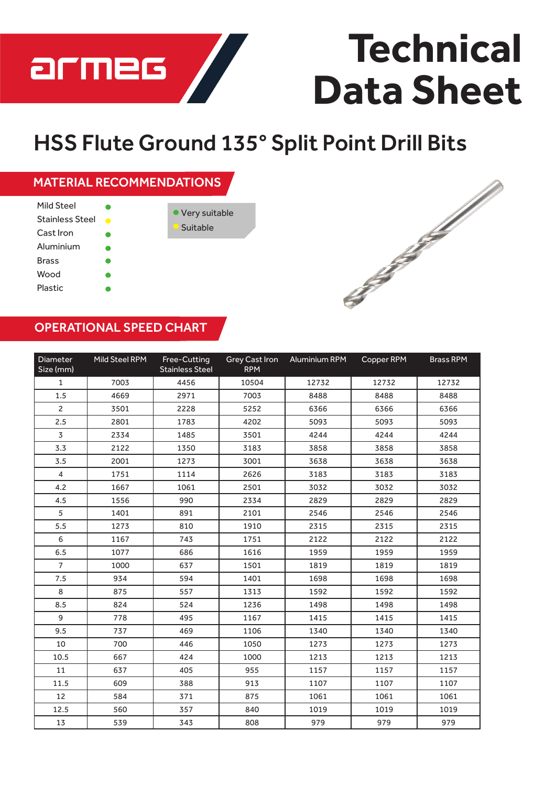

# **Technical Data Sheet**

# HSS Flute Ground 135° Split Point Drill Bits

## MATERIAL RECOMMENDATIONS

| Mild Steel             |           |                 |
|------------------------|-----------|-----------------|
| <b>Stainless Steel</b> | $\bullet$ | • Very suitable |
| Cast Iron              |           | Suitable        |
| Aluminium              |           |                 |
| Brass                  |           |                 |
| Wood                   |           |                 |
| Plastic                |           |                 |



#### OPERATIONAL SPEED CHART

| Diameter<br>Size (mm) | Mild Steel RPM | Free-Cutting<br><b>Stainless Steel</b> | <b>Grey Cast Iron</b><br><b>RPM</b> | Aluminium RPM | Copper RPM | <b>Brass RPM</b> |
|-----------------------|----------------|----------------------------------------|-------------------------------------|---------------|------------|------------------|
| $\mathbf{1}$          | 7003           | 4456                                   | 10504                               | 12732         | 12732      | 12732            |
| 1.5                   | 4669           | 2971                                   | 7003                                | 8488          | 8488       | 8488             |
| $\overline{c}$        | 3501           | 2228                                   | 5252                                | 6366          | 6366       | 6366             |
| 2.5                   | 2801           | 1783                                   | 4202                                | 5093          | 5093       | 5093             |
| 3                     | 2334           | 1485                                   | 3501                                | 4244          | 4244       | 4244             |
| 3.3                   | 2122           | 1350                                   | 3183                                | 3858          | 3858       | 3858             |
| 3.5                   | 2001           | 1273                                   | 3001                                | 3638          | 3638       | 3638             |
| $\overline{4}$        | 1751           | 1114                                   | 2626                                | 3183          | 3183       | 3183             |
| 4.2                   | 1667           | 1061                                   | 2501                                | 3032          | 3032       | 3032             |
| 4.5                   | 1556           | 990                                    | 2334                                | 2829          | 2829       | 2829             |
| 5                     | 1401           | 891                                    | 2101                                | 2546          | 2546       | 2546             |
| 5.5                   | 1273           | 810                                    | 1910                                | 2315          | 2315       | 2315             |
| 6                     | 1167           | 743                                    | 1751                                | 2122          | 2122       | 2122             |
| 6.5                   | 1077           | 686                                    | 1616                                | 1959          | 1959       | 1959             |
| $\overline{7}$        | 1000           | 637                                    | 1501                                | 1819          | 1819       | 1819             |
| 7.5                   | 934            | 594                                    | 1401                                | 1698          | 1698       | 1698             |
| 8                     | 875            | 557                                    | 1313                                | 1592          | 1592       | 1592             |
| 8.5                   | 824            | 524                                    | 1236                                | 1498          | 1498       | 1498             |
| 9                     | 778            | 495                                    | 1167                                | 1415          | 1415       | 1415             |
| 9.5                   | 737            | 469                                    | 1106                                | 1340          | 1340       | 1340             |
| 10                    | 700            | 446                                    | 1050                                | 1273          | 1273       | 1273             |
| 10.5                  | 667            | 424                                    | 1000                                | 1213          | 1213       | 1213             |
| 11                    | 637            | 405                                    | 955                                 | 1157          | 1157       | 1157             |
| 11.5                  | 609            | 388                                    | 913                                 | 1107          | 1107       | 1107             |
| 12                    | 584            | 371                                    | 875                                 | 1061          | 1061       | 1061             |
| 12.5                  | 560            | 357                                    | 840                                 | 1019          | 1019       | 1019             |
| 13                    | 539            | 343                                    | 808                                 | 979           | 979        | 979              |